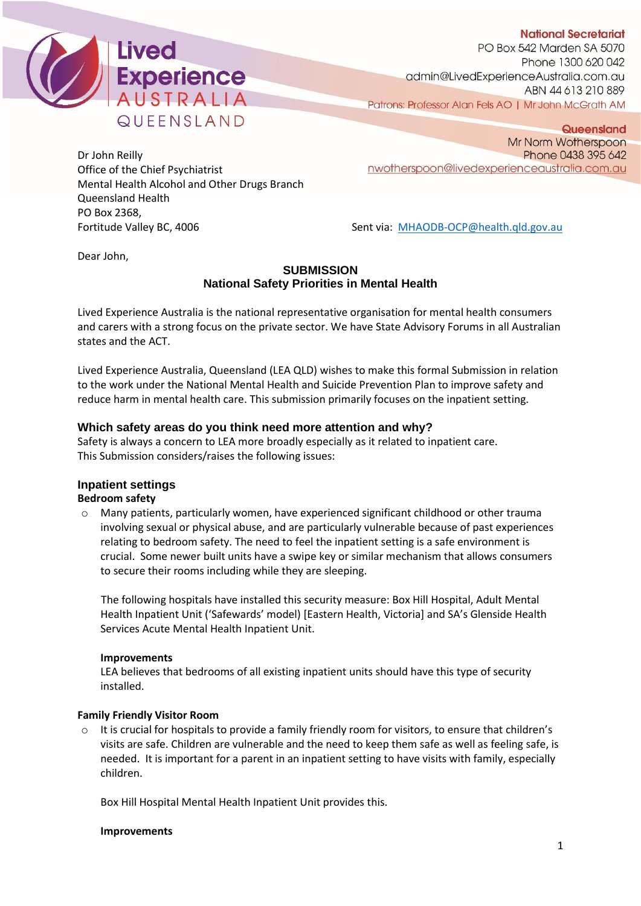



PO Box 542 Marden SA 5070 Phone 1300 620 042 admin@LivedExperienceAustralia.com.au ABN 44 613 210 889 Patrons: Professor Alan Fels AO | Mr John McGrath AM

Dr John Reilly Office of the Chief Psychiatrist Mental Health Alcohol and Other Drugs Branch Queensland Health PO Box 2368,

Queensland Mr Norm Wotherspoon Phone 0438 395 642 nwotherspoon@livedexperienceaustralia.com.au

Fortitude Valley BC, 4006 Sent via: [MHAODB-OCP@health.qld.gov.au](mailto:MHAODB-OCP@health.qld.gov.au)

Dear John,

# **SUBMISSION National Safety Priorities in Mental Health**

Lived Experience Australia is the national representative organisation for mental health consumers and carers with a strong focus on the private sector. We have State Advisory Forums in all Australian states and the ACT.

Lived Experience Australia, Queensland (LEA QLD) wishes to make this formal Submission in relation to the work under the National Mental Health and Suicide Prevention Plan to improve safety and reduce harm in mental health care. This submission primarily focuses on the inpatient setting.

# **Which safety areas do you think need more attention and why?**

Safety is always a concern to LEA more broadly especially as it related to inpatient care. This Submission considers/raises the following issues:

# **Inpatient settings**

# **Bedroom safety**

o Many patients, particularly women, have experienced significant childhood or other trauma involving sexual or physical abuse, and are particularly vulnerable because of past experiences relating to bedroom safety. The need to feel the inpatient setting is a safe environment is crucial. Some newer built units have a swipe key or similar mechanism that allows consumers to secure their rooms including while they are sleeping.

The following hospitals have installed this security measure: Box Hill Hospital, Adult Mental Health Inpatient Unit ('Safewards' model) [Eastern Health, Victoria] and SA's Glenside Health Services Acute Mental Health Inpatient Unit.

## **Improvements**

LEA believes that bedrooms of all existing inpatient units should have this type of security installed.

# **Family Friendly Visitor Room**

 $\circ$  It is crucial for hospitals to provide a family friendly room for visitors, to ensure that children's visits are safe. Children are vulnerable and the need to keep them safe as well as feeling safe, is needed. It is important for a parent in an inpatient setting to have visits with family, especially children.

Box Hill Hospital Mental Health Inpatient Unit provides this.

## **Improvements**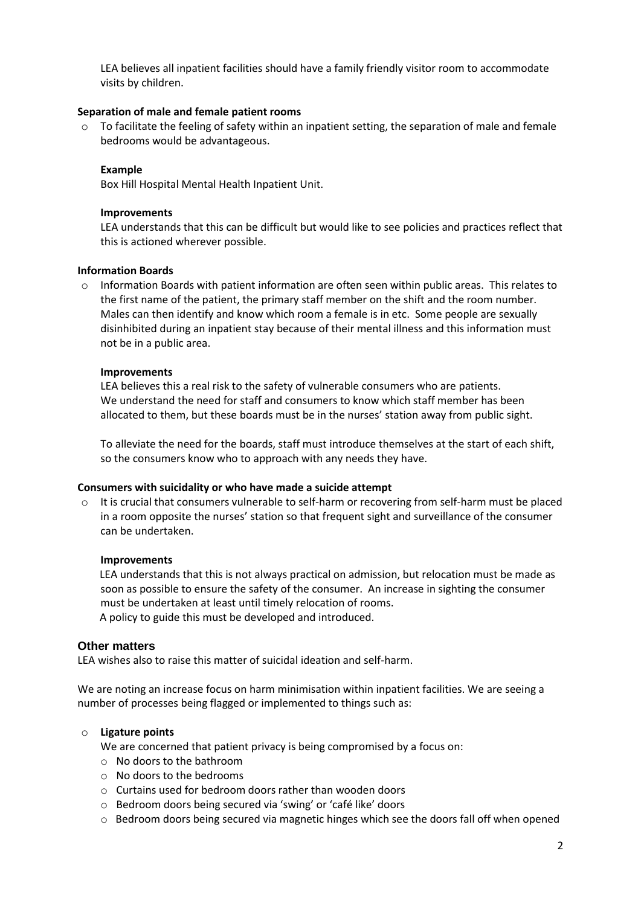LEA believes all inpatient facilities should have a family friendly visitor room to accommodate visits by children.

## **Separation of male and female patient rooms**

 $\circ$  To facilitate the feeling of safety within an inpatient setting, the separation of male and female bedrooms would be advantageous.

# **Example**

Box Hill Hospital Mental Health Inpatient Unit.

## **Improvements**

LEA understands that this can be difficult but would like to see policies and practices reflect that this is actioned wherever possible.

# **Information Boards**

o Information Boards with patient information are often seen within public areas. This relates to the first name of the patient, the primary staff member on the shift and the room number. Males can then identify and know which room a female is in etc. Some people are sexually disinhibited during an inpatient stay because of their mental illness and this information must not be in a public area.

## **Improvements**

LEA believes this a real risk to the safety of vulnerable consumers who are patients. We understand the need for staff and consumers to know which staff member has been allocated to them, but these boards must be in the nurses' station away from public sight.

To alleviate the need for the boards, staff must introduce themselves at the start of each shift, so the consumers know who to approach with any needs they have.

## **Consumers with suicidality or who have made a suicide attempt**

 $\circ$  It is crucial that consumers vulnerable to self-harm or recovering from self-harm must be placed in a room opposite the nurses' station so that frequent sight and surveillance of the consumer can be undertaken.

## **Improvements**

LEA understands that this is not always practical on admission, but relocation must be made as soon as possible to ensure the safety of the consumer. An increase in sighting the consumer must be undertaken at least until timely relocation of rooms. A policy to guide this must be developed and introduced.

## **Other matters**

LEA wishes also to raise this matter of suicidal ideation and self-harm.

We are noting an increase focus on harm minimisation within inpatient facilities. We are seeing a number of processes being flagged or implemented to things such as:

# o **Ligature points**

We are concerned that patient privacy is being compromised by a focus on:

- o No doors to the bathroom
- o No doors to the bedrooms
- o Curtains used for bedroom doors rather than wooden doors
- o Bedroom doors being secured via 'swing' or 'café like' doors
- o Bedroom doors being secured via magnetic hinges which see the doors fall off when opened